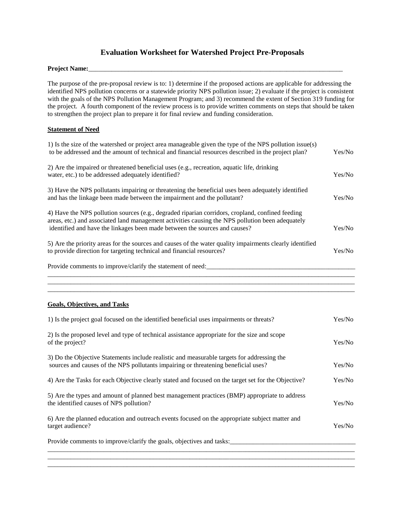# **Evaluation Worksheet for Watershed Project Pre-Proposals**

#### Project Name:

The purpose of the pre-proposal review is to: 1) determine if the proposed actions are applicable for addressing the identified NPS pollution concerns or a statewide priority NPS pollution issue; 2) evaluate if the project is consistent with the goals of the NPS Pollution Management Program; and 3) recommend the extent of Section 319 funding for the project. A fourth component of the review process is to provide written comments on steps that should be taken to strengthen the project plan to prepare it for final review and funding consideration.

# **Statement of Need**

| Provide comments to improve/clarify the goals, objectives and tasks:                                                                                                                                                                                                               |        |
|------------------------------------------------------------------------------------------------------------------------------------------------------------------------------------------------------------------------------------------------------------------------------------|--------|
| 6) Are the planned education and outreach events focused on the appropriate subject matter and<br>target audience?                                                                                                                                                                 | Yes/No |
| 5) Are the types and amount of planned best management practices (BMP) appropriate to address<br>the identified causes of NPS pollution?                                                                                                                                           | Yes/No |
| 4) Are the Tasks for each Objective clearly stated and focused on the target set for the Objective?                                                                                                                                                                                | Yes/No |
| 3) Do the Objective Statements include realistic and measurable targets for addressing the<br>sources and causes of the NPS pollutants impairing or threatening beneficial uses?                                                                                                   | Yes/No |
| 2) Is the proposed level and type of technical assistance appropriate for the size and scope<br>of the project?                                                                                                                                                                    | Yes/No |
| 1) Is the project goal focused on the identified beneficial uses impairments or threats?                                                                                                                                                                                           | Yes/No |
| <b>Goals, Objectives, and Tasks</b>                                                                                                                                                                                                                                                |        |
|                                                                                                                                                                                                                                                                                    |        |
| Provide comments to improve/clarify the statement of need:                                                                                                                                                                                                                         |        |
| 5) Are the priority areas for the sources and causes of the water quality impairments clearly identified<br>to provide direction for targeting technical and financial resources?                                                                                                  | Yes/No |
| 4) Have the NPS pollution sources (e.g., degraded riparian corridors, cropland, confined feeding<br>areas, etc.) and associated land management activities causing the NPS pollution been adequately<br>identified and have the linkages been made between the sources and causes? | Yes/No |
| 3) Have the NPS pollutants impairing or threatening the beneficial uses been adequately identified<br>and has the linkage been made between the impairment and the pollutant?                                                                                                      | Yes/No |
| 2) Are the impaired or threatened beneficial uses (e.g., recreation, aquatic life, drinking<br>water, etc.) to be addressed adequately identified?                                                                                                                                 | Yes/No |
| 1) Is the size of the watershed or project area manageable given the type of the NPS pollution issue(s)<br>to be addressed and the amount of technical and financial resources described in the project plan?                                                                      | Yes/No |

 $\_$  ,  $\_$  ,  $\_$  ,  $\_$  ,  $\_$  ,  $\_$  ,  $\_$  ,  $\_$  ,  $\_$  ,  $\_$  ,  $\_$  ,  $\_$  ,  $\_$  ,  $\_$  ,  $\_$  ,  $\_$  ,  $\_$  ,  $\_$  ,  $\_$  ,  $\_$  ,  $\_$  ,  $\_$  ,  $\_$  ,  $\_$  ,  $\_$  ,  $\_$  ,  $\_$  ,  $\_$  ,  $\_$  ,  $\_$  ,  $\_$  ,  $\_$  ,  $\_$  ,  $\_$  ,  $\_$  ,  $\_$  ,  $\_$  ,